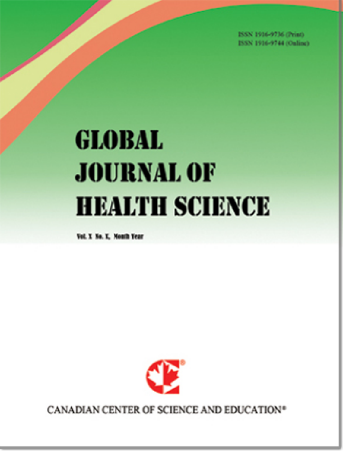ISSN 1916-9736 (Print) **ROOM 1016-0744 (Publica)** 

# **GLOBAL JOURNAL OF HEALTH SCIENCE**

Vol. Y. No. Y. Month Year



CANADIAN CENTER OF SCIENCE AND EDUCATION<sup>®</sup>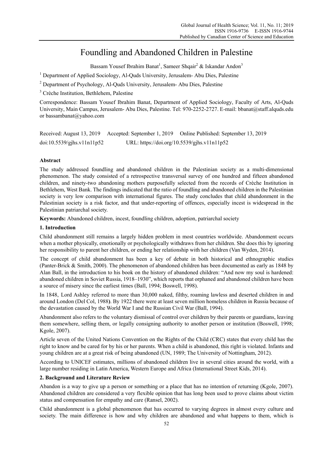# Foundling and Abandoned Children in Palestine

Bassam Yousef Ibrahim Banat<sup>1</sup>, Sameer Shqair<sup>2</sup> & Iskandar Andon<sup>3</sup>

<sup>1</sup> Department of Applied Sociology, Al-Quds University, Jerusalem-Abu Dies, Palestine

<sup>2</sup> Department of Psychology, Al-Quds University, Jerusalem- Abu Dies, Palestine

<sup>3</sup> Crèche Institution, Bethlehem, Palestine

Correspondence: Bassam Yousef Ibrahim Banat, Department of Applied Sociology, Faculty of Arts, Al-Quds University, Main Campus, Jerusalem- Abu Dies, Palestine. Tel: 970-2252-2727. E-mail: bbanat@staff.alquds.edu or bassambanat@yahoo.com

Received: August 13, 2019 Accepted: September 1, 2019 Online Published: September 13, 2019 doi:10.5539/gjhs.v11n11p52 URL: https://doi.org/10.5539/gjhs.v11n11p52

# **Abstract**

The study addressed foundling and abandoned children in the Palestinian society as a multi-dimensional phenomenon. The study consisted of a retrospective transversal survey of one hundred and fifteen abandoned children, and ninety-two abandoning mothers purposefully selected from the records of Crèche Institution in Bethlehem, West Bank. The findings indicated that the ratio of foundling and abandoned children in the Palestinian society is very low comparison with international figures. The study concludes that child abandonment in the Palestinian society is a risk factor, and that under-reporting of offences, especially incest is widespread in the Palestinian patriarchal society.

**Keywords:** Abandoned children, incest, foundling children, adoption, patriarchal society

# **1. Introduction**

Child abandonment still remains a largely hidden problem in most countries worldwide. Abandonment occurs when a mother physically, emotionally or psychologically withdraws from her children. She does this by ignoring her responsibility to parent her children, or ending her relationship with her children (Van Wyden, 2014).

The concept of child abandonment has been a key of debate in both historical and ethnographic studies (Panter-Brick & Smith, 2000). The phenomenon of abandoned children has been documented as early as 1848 by Alan Ball, in the introduction to his book on the history of abandoned children: "And now my soul is hardened: abandoned children in Soviet Russia, 1918–1930", which reports that orphaned and abandoned children have been a source of misery since the earliest times (Ball, 1994; Boswell, 1998).

In 1848, Lord Ashley referred to more than 30,000 naked, filthy, roaming lawless and deserted children in and around London (Del Col, 1988**)**. By 1922 there were at least seven million homeless children in Russia because of the devastation caused by the World War I and the Russian Civil War (Ball, 1994).

Abandonment also refers to the voluntary dismissal of control over children by their parents or guardians, leaving them somewhere, selling them, or legally consigning authority to another person or institution (Boswell, 1998; Kgole, 2007).

Article seven of the United Nations Convention on the Rights of the Child (CRC) states that every child has the right to know and be cared for by his or her parents. When a child is abandoned, this right is violated. Infants and young children are at a great risk of being abandoned (UN, 1989; The University of Nottingham, 2012).

According to UNICEF estimates, millions of abandoned children live in several cities around the world, with a large number residing in Latin America, Western Europe and Africa (International Street Kids, 2014).

## **2. Background and Literature Review**

Abandon is a way to give up a person or something or a place that has no intention of returning (Kgole, 2007). Abandoned children are considered a very flexible opinion that has long been used to prove claims about victim status and compensation for empathy and care (Ransel, 2002).

Child abandonment is a global phenomenon that has occurred to varying degrees in almost every culture and society. The main difference is how and why children are abandoned and what happens to them, which is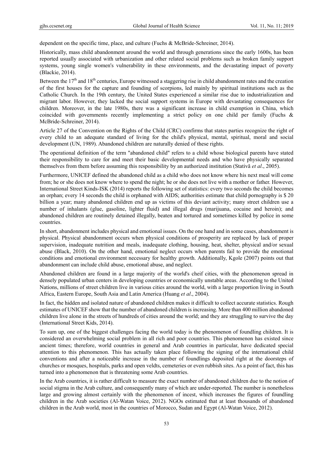dependent on the specific time, place, and culture (Fuchs & McBride-Schreiner, 2014).

Historically, mass child abandonment around the world and through generations since the early 1600s, has been reported usually associated with urbanization and other related social problems such as broken family support systems, young single women's vulnerability in these environments, and the devastating impact of poverty (Blackie, 2014).

Between the  $17<sup>th</sup>$  and  $18<sup>th</sup>$  centuries, Europe witnessed a staggering rise in child abandonment rates and the creation of the first houses for the capture and founding of scorpions, led mainly by spiritual institutions such as the Catholic Church. In the 19th century, the United States experienced a similar rise due to industrialization and migrant labor. However, they lacked the social support systems in Europe with devastating consequences for children. Moreover, in the late 1980s, there was a significant increase in child exemption in China, which coincided with governments recently implementing a strict policy on one child per family (Fuchs & McBride-Schreiner, 2014).

Article 27 of the Convention on the Rights of the Child (CRC) confirms that states parties recognize the right of every child to an adequate standard of living for the child's physical, mental, spiritual, moral and social development (UN, 1989). Abandoned children are naturally denied of these rights.

The operational definition of the term "abandoned child" refers to a child whose biological parents have stated their responsibility to care for and meet their basic developmental needs and who have physically separated themselves from them before assuming this responsibility by an authorized institution (Stativă *et al*., 2005).

Furthermore, UNICEF defined the abandoned child as a child who does not know where his next meal will come from; he or she does not know where to spend the night; he or she does not live with a mother or father. However, International Street Kinds-ISK (2014) reports the following set of statistics: every two seconds the child becomes an orphan; every 14 seconds the child is orphaned with AIDS; authorities estimate that child pornography is \$ 20 billion a year; many abandoned children end up as victims of this deviant activity; many street children use a number of inhalants (glue, gasoline, lighter fluid) and illegal drugs (marijuana, cocaine and heroin); and abandoned children are routinely detained illegally, beaten and tortured and sometimes killed by police in some countries.

In short, abandonment includes physical and emotional issues. On the one hand and in some cases, abandonment is physical. Physical abandonment occurs when physical conditions of prosperity are replaced by lack of proper supervision, inadequate nutrition and meals, inadequate clothing, housing, heat, shelter, physical and/or sexual abuse (Black, 2010). On the other hand, emotional neglect occurs when parents fail to provide the emotional conditions and emotional environment necessary for healthy growth. Additionally, Kgole (2007) points out that abandonment can include child abuse, emotional abuse, and neglect.

Abandoned children are found in a large majority of the world's cheif cities, with the phenomenon spread in densely populated urban centers in developing countries or economically unstable areas. According to the United Nations, millions of street children live in various cities around the world, with a large proportion living in South Africa, Eastern Europe, South Asia and Latin America (Huang *et al*., 2004).

In fact, the hidden and isolated nature of abandoned children makes it difficult to collect accurate statistics. Rough estimates of UNICEF show that the number of abandoned children is increasing. More than 400 million abandoned children live alone in the streets of hundreds of cities around the world; and they are struggling to survive the day (International Street Kids, 2014).

To sum up, one of the biggest challenges facing the world today is the phenomenon of foundling children. It is considered an overwhelming social problem in all rich and poor countries. This phenomenon has existed since ancient times; therefore, world countries in general and Arab countries in particular, have dedicated special attention to this phenomenon. This has actually taken place following the signing of the international child conventions and after a noticeable increase in the number of foundlings deposited right at the doorsteps of churches or mosques, hospitals, parks and open veldts, cemeteries or even rubbish sites. As a point of fact, this has turned into a phenomenon that is threatening some Arab countries.

In the Arab countries, it is rather difficult to measure the exact number of abandoned children due to the notion of social stigma in the Arab culture, and consequently many of which are under-reported. The number is nonetheless large and growing almost certainly with the phenomenon of incest, which increases the figures of foundling children in the Arab societies (Al-Watan Voice, 2012). NGOs estimated that at least thousands of abandoned children in the Arab world, most in the countries of Morocco, Sudan and Egypt (Al-Watan Voice, 2012).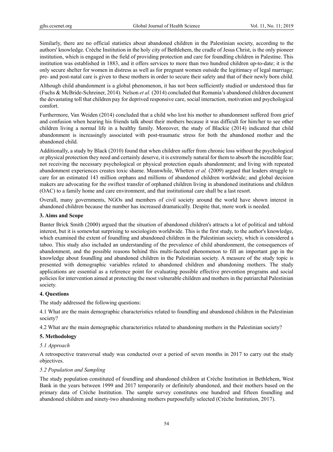Similarly, there are no official statistics about abandoned children in the Palestinian society, according to the authors' knowledge. Crèche Institution in the holy city of Bethlehem, the cradle of Jesus Christ, is the only pioneer institution, which is engaged in the field of providing protection and care for foundling children in Palestine. This institution was established in 1883, and it offers services to more than two hundred children up-to-date; it is the only secure shelter for women in distress as well as for pregnant women outside the legitimacy of legal marriage; pre- and post-natal care is given to these mothers in order to secure their safety and that of their newly born child.

Although child abandonment is a global phenomenon, it has not been sufficiently studied or understood thus far (Fuchs & McBride-Schreiner, 2014). Nelson *et al.* (2014) concluded that Romania's abandoned children document the devastating toll that children pay for deprived responsive care, social interaction, motivation and psychological comfort.

Furthermore, Van Weiden (2014) concluded that a child who lost his mother to abandonment suffered from grief and confusion when hearing his friends talk about their mothers because it was difficult for him/her to see other children living a normal life in a healthy family. Moreover, the study of Blackie (2014) indicated that child abandonment is increasingly associated with post-traumatic stress for both the abandoned mother and the abandoned child.

Additionally, a study by Black (2010) found that when children suffer from chronic loss without the psychological or physical protection they need and certainly deserve, it is extremely natural for them to absorb the incredible fear; not receiving the necessary psychological or physical protection equals abandonment; and living with repeated abandonment experiences creates toxic shame. Meanwhile, Whetten *et al.* (2009) argued that leaders struggle to care for an estimated 143 million orphans and millions of abandoned children worldwide; and global decision makers are advocating for the swiftest transfer of orphaned children living in abandoned institutions and children (OAC) to a family home and care environment, and that institutional care shall be a last resort.

Overall, many governments, NGOs and members of civil society around the world have shown interest in abandoned children because the number has increased dramatically. Despite that, more work is needed.

#### **3. Aims and Scope**

Banter Brick Smith (2000) argued that the situation of abandoned children's attracts a lot of political and tabloid interest, but it is somewhat surprising to sociologists worldwide. This is the first study, to the author's knowledge, which examined the extent of foundling and abandoned children in the Palestinian society, which is considered a taboo. This study also included an understanding of the prevalence of child abandonment, the consequences of abandonment, and the possible reasons behind this multi-faceted phenomenon to fill an important gap in the knowledge about foundling and abandoned children in the Palestinian society. A measure of the study topic is presented with demographic variables related to abandoned children and abandoning mothers. The study applications are essential as a reference point for evaluating possible effective prevention programs and social policies for intervention aimed at protecting the most vulnerable children and mothers in the patriarchal Palestinian society.

# **4. Questions**

The study addressed the following questions:

4.1 What are the main demographic characteristics related to foundling and abandoned children in the Palestinian society?

4.2 What are the main demographic characteristics related to abandoning mothers in the Palestinian society?

## **5. Methodology**

## *5.1 Approach*

A retrospective transversal study was conducted over a period of seven months in 2017 to carry out the study objectives.

#### *5.2 Population and Sampling*

The study population constituted of foundling and abandoned children at Crèche Institution in Bethlehem, West Bank in the years between 1999 and 2017 temporarily or definitely abandoned, and their mothers based on the primary data of Crèche Institution. The sample survey constitutes one hundred and fifteen foundling and abandoned children and ninety-two abandoning mothers purposefully selected (Crèche Institution, 2017).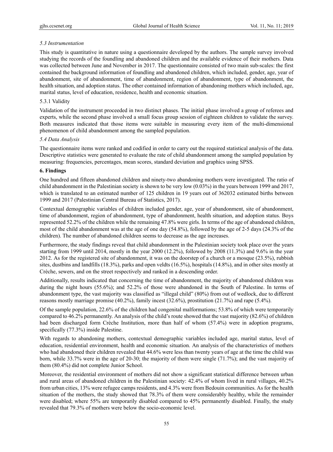## *5.3 Instrumentation*

This study is quantitative in nature using a questionnaire developed by the authors. The sample survey involved studying the records of the foundling and abandoned children and the available evidence of their mothers. Data was collected between June and November in 2017. The questionnaire consisted of two main sub-scales: the first contained the background information of foundling and abandoned children, which included, gender, age, year of abandonment, site of abandonment, time of abandonment, region of abandonment, type of abandonment, the health situation, and adoption status. The other contained information of abandoning mothers which included, age, marital status, level of education, residence, health and economic situation.

#### 5.3.1 Validity

Validation of the instrument proceeded in two distinct phases. The initial phase involved a group of referees and experts, while the second phase involved a small focus group session of eighteen children to validate the survey. Both measures indicated that those items were suitable in measuring every item of the multi-dimensional phenomenon of child abandonment among the sampled population.

#### *5.4 Data Analysis*

The questionnaire items were ranked and codified in order to carry out the required statistical analysis of the data. Descriptive statistics were generated to evaluate the rate of child abandonment among the sampled population by measuring: frequencies, percentages, mean scores, standard deviation and graphics using SPSS.

#### **6. Findings**

One hundred and fifteen abandoned children and ninety-two abandoning mothers were investigated. The ratio of child abandonment in the Palestinian society is shown to be very low (0.03%) in the years between 1999 and 2017, which is translated to an estimated number of 125 children in 19 years out of 362032 estimated births between 1999 and 2017 (Palestinian Central Bureau of Statistics, 2017).

Contextual demographic variables of children included gender, age, year of abandonment, site of abandonment, time of abandonment, region of abandonment, type of abandonment, health situation, and adoption status. Boys represented 52.2% of the children while the remaining 47.8% were girls. In terms of the age of abandoned children, most of the child abandonment was at the age of one day (54.8%), followed by the age of 2-5 days (24.3% of the children). The number of abandoned children seems to decrease as the age increases.

Furthermore, the study findings reveal that child abandonment in the Palestinian society took place over the years starting from 1999 until 2014, mostly in the year 2000 (12.2%), followed by 2008 (11.3%) and 9.6% in the year 2012. As for the registered site of abandonment, it was on the doorstep of a church or a mosque (23.5%), rubbish sites, dustbins and landfills (18.3%), parks and open veldts (16.5%), hospitals (14.8%), and in other sites mostly at Crèche, sewers, and on the street respectively and ranked in a descending order.

Additionally, results indicated that concerning the time of abandonment, the majority of abandoned children was during the night hours (55.6%); and 52.2% of those were abandoned in the South of Palestine. In terms of abandonment type, the vast majority was classified as "illegal child" (80%) from out of wedlock, due to different reasons mostly marriage promise (40.2%), family incest (32.6%), prostitution (21.7%) and rape (5.4%).

Of the sample population, 22.6% of the children had congenital malformations; 53.8% of which were temporarily compared to 46.2% permanently. An analysis of the child's route showed that the vast majority (82.6%) of children had been discharged form Crèche Institution, more than half of whom (57.4%) were in adoption programs, specifically (77.3%) inside Palestine.

With regards to abandoning mothers, contextual demographic variables included age, marital status, level of education, residential environment, health and economic situation. An analysis of the characteristics of mothers who had abandoned their children revealed that 44.6% were less than twenty years of age at the time the child was born, while 33.7% were in the age of 20-30; the majority of them were single (71.7%); and the vast majority of them (80.4%) did not complete Junior School.

Moreover, the residential environment of mothers did not show a significant statistical difference between urban and rural areas of abandoned children in the Palestinian society: 42.4% of whom lived in rural villages, 40.2% from urban cities, 13% were refugee camps residents, and 4.3% were from Bedouin communities. As for the health situation of the mothers, the study showed that 78.3% of them were considerably healthy, while the remainder were disabled; where 55% are temporarily disabled compared to 45% permanently disabled. Finally, the study revealed that 79.3% of mothers were below the socio-economic level.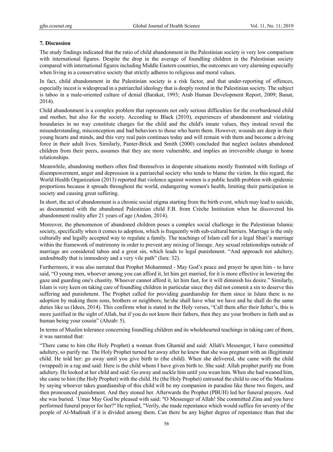# **7. Discussion**

The study findings indicated that the ratio of child abandonment in the Palestinian society is very low comparison with international figures. Despite the drop in the average of foundling children in the Palestinian society compared with international figures including Middle Eastern countries, the outcomes are very alarming especially when living in a conservative society that strictly adheres to religious and moral values.

In fact, child abandonment in the Palestinian society is a risk factor, and that under-reporting of offences, especially incest is widespread in a patriarchal ideology that is deeply rooted in the Palestinian society. The subject is taboo in a male-oriented culture of denial (Barakat, 1993; Arab Human Development Report, 2009; Banat, 2014).

Child abandonment is a complex problem that represents not only serious difficulties for the overburdened child and mother, but also for the society. According to Black (2010), experiences of abandonment and violating boundaries in no way constitute charges for the child and the child's innate values, they instead reveal the misunderstanding, misconception and bad behaviors to those who harm them. However, wounds are deep in their young hearts and minds, and this very real pain continues today and will remain with them and become a driving force in their adult lives. Similarly, Panter-Brick and Smith (2000) concluded that neglect isolates abandoned children from their peers, assumes that they are more vulnerable, and implies an irreversible change in home relationships.

Meanwhile, abandoning mothers often find themselves in desperate situations mostly frustrated with feelings of disempowerment, anger and depression in a patriarchal society who tends to blame the victim. In this regard, the World Health Organization (2013) reported that violence against women is a public health problem with epidemic proportions because it spreads throughout the world, endangering women's health, limiting their participation in society and causing great suffering.

In short, the act of abandonment is a chronic social stigma starting from the birth event, which may lead to suicide, as documented with the abandoned Palestinian child F.B. from Crèche Institution when he discovered his abandonment reality after 21 years of age (Andon, 2014).

Moreover, the phenomenon of abandoned children poses a complex social challenge in the Palestinian Islamic society, specifically when it comes to adoption, which is frequently with sub-cultural barriers. Marriage is the only culturally and legally accepted way to regulate a family. The teachings of Islam call for a legal Shari'a marriage within the framework of matrimony in order to prevent any mixing of lineage. Any sexual relationships outside of marriage are considered taboo and a great sin, which leads to legal punishment. "And approach not adultery, undoubtedly that is immodesty and a very vile path" (Isra: 32).

Furthermore, it was also narrated that Prophet Mohammed - May God's peace and prayer be upon him - to have said, "O young men, whoever among you can afford it, let him get married, for it is more effective in lowering the gaze and guarding one's chastity. Whoever cannot afford it, let him fast, for it will diminish his desire." Similarly, Islam is very keen on taking care of foundling children in particular since they did not commit a sin to deserve this suffering and punishment. The Prophet called for providing guardianship for them since in Islam there is no adoption by making them sons, brothers or neighbors; he/she shall have what we have and he shall do the same duties like us (Idees, 2014). This confirms what is stated in the Holy verses, "Call them after their father's, this is more justified in the sight of Allah, but if you do not know their fathers, then they are your brothers in faith and as human being your cousin" (Ahzab: 5).

In terms of Muslim tolerance concerning foundling children and its wholehearted teachings in taking care of them, it was narrated that:

"There came to him (the Holy Prophet) a woman from Ghamid and said: Allah's Messenger, I have committed adultery, so purify me. The Holy Prophet turned her away after he knew that she was pregnant with an illegitimate child. He told her: go away until you give birth to (the child). When she delivered, she came with the child (wrapped) in a rag and said: Here is the child whom I have given birth to. She said: Allah prophet purify me from adultery. He looked at her child and said: Go away and suckle him until you wean him. When she had weaned him, she came to him (the Holy Prophet) with the child. He (the Holy Prophet) entrusted the child to one of the Muslims by saying whoever takes guardianship of this child will be my companion in paradise like these two fingers, and then pronounced punishment. And they stoned her. Afterwards the Prophet (PBUH) led her funeral prayers. And she was buried. `Umar May God be pleased with said: "O Messenger of Allah! She committed Zina and you have performed funeral prayer for her?'' He replied, "Verily, she made repentance which would suffice for seventy of the people of Al-Madinah if it is divided among them. Can there be any higher degree of repentance than that she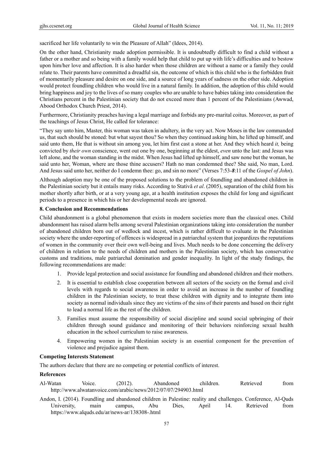sacrificed her life voluntarily to win the Pleasure of Allah" (Idees, 2014).

On the other hand, Christianity made adoption permissible. It is undoubtedly difficult to find a child without a father or a mother and so being with a family would help that child to put up with life's difficulties and to bestow upon him/her love and affection. It is also harder when those children are without a name or a family they could relate to. Their parents have committed a dreadful sin, the outcome of which is this child who is the forbidden fruit of momentarily pleasure and desire on one side, and a source of long years of sadness on the other side. Adoption would protect foundling children who would live in a natural family. In addition, the adoption of this child would bring happiness and joy to the lives of so many couples who are unable to have babies taking into consideration the Christians percent in the Palestinian society that do not exceed more than 1 percent of the Palestinians (Awwad, Abood Orthodox Church Priest, 2014).

Furthermore, Christianity preaches having a legal marriage and forbids any pre-marital coitus. Moreover, as part of the teachings of Jesus Christ, He called for tolerance:

"They say unto him, Master, this woman was taken in adultery, in the very act. Now Moses in the law commanded us, that such should be stoned: but what sayest thou? So when they continued asking him, he lifted up himself, and said unto them, He that is without sin among you, let him first cast a stone at her. And they which heard *it,* being convicted by *their own* conscience, went out one by one, beginning at the eldest, *even* unto the last: and Jesus was left alone, and the woman standing in the midst. When Jesus had lifted up himself, and saw none but the woman, he said unto her, Woman, where are those thine accusers? Hath no man condemned thee? She said, No man, Lord. And Jesus said unto her, neither do I condemn thee: go, and sin no more" (Verses 7:53-*8*:11 of the *Gospel of John*).

Although adoption may be one of the proposed solutions to the problem of foundling and abandoned children in the Palestinian society but it entails many risks. According to Stativă *et al*. (2005), separation of the child from his mother shortly after birth, or at a very young age, at a health institution exposes the child for long and significant periods to a presence in which his or her developmental needs are ignored.

#### **8. Conclusion and Recommendations**

Child abandonment is a global phenomenon that exists in modern societies more than the classical ones. Child abandonment has raised alarm bells among several Palestinian organizations taking into consideration the number of abandoned children born out of wedlock and incest, which is rather difficult to evaluate in the Palestinian society where the under-reporting of offences is widespread in a patriarchal system that jeopardizes the reputations of women in the community over their own well-being and lives. Much needs to be done concerning the delivery of children in relation to the needs of children and mothers in the Palestinian society, which has conservative customs and traditions, male patriarchal domination and gender inequality. In light of the study findings, the following recommendations are made:

- 1. Provide legal protection and social assistance for foundling and abandoned children and their mothers.
- 2. It is essential to establish close cooperation between all sectors of the society on the formal and civil levels with regards to social awareness in order to avoid an increase in the number of foundling children in the Palestinian society, to treat these children with dignity and to integrate them into society as normal individuals since they are victims of the sins of their parents and based on their right to lead a normal life as the rest of the children.
- 3. Families must assume the responsibility of social discipline and sound social upbringing of their children through sound guidance and monitoring of their behaviors reinforcing sexual health education in the school curriculum to raise awareness.
- 4. Empowering women in the Palestinian society is an essential component for the prevention of violence and prejudice against them.

#### **Competing Interests Statement**

The authors declare that there are no competing or potential conflicts of interest.

## **References**

- Al-Watan Voice. (2012). Abandoned children. Retrieved from http://www.alwatanvoice.com/arabic/news/2012/07/07/294903.html
- Andon, I. (2014). Foundling and abandoned children in Palestine: reality and challenges. Conference, Al-Quds University, main campus, Abu Dies, April 14. Retrieved from https://www.alquds.edu/ar/news-ar/138308-.html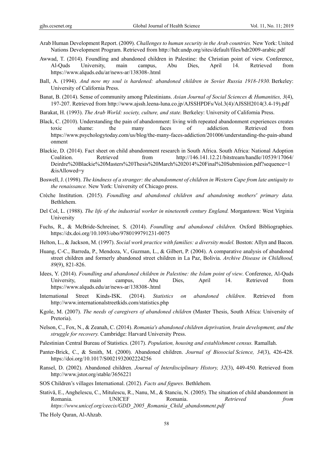- Arab Human Development Report. (2009). *Challenges to human security in the Arab countries.* New York: United Nations Development Program. Retrieved from http://hdr.undp.org/sites/default/files/hdr2009-arabic.pdf
- Awwad, T. (2014). Foundling and abandoned children in Palestine: the Christian point of view. Conference, Al-Quds University, main campus, Abu Dies, April 14. Retrieved from https://www.alquds.edu/ar/news-ar/138308-.html
- Ball, A. (1994). *And now my soul is hardened: abandoned children in Soviet Russia 1918-1930.* Berkeley: University of California Press.
- Banat, B. (2014). Sense of community among Palestinians. *Asian Journal of Social Sciences & Humanities, 3*(4), 197-207. Retrieved from http://www.ajssh.leena-luna.co.jp/AJSSHPDFs/Vol.3(4)/AJSSH2014(3.4-19).pdf
- Barakat, H. (1993). *The Arab World: society, culture, and state.* Berkeley: University of California Press.
- Black, C. (2010). Understanding the pain of abandonment: living with repeated abandonment experiences creates toxic shame: the many faces of addiction*.* Retrieved from https://www.psychologytoday.com/us/blog/the-many-faces-addiction/201006/understanding-the-pain-aband onment
- Blackie, D. (2014). Fact sheet on child abandonment research in South Africa. South Africa: National Adoption Coalition. Retrieved from http://146.141.12.21/bitstream/handle/10539/17064/ Deirdre%20Blackie%20Masters%20Thesis%20March%202014%20Final%20Submission.pdf?sequence=1 &isAllowed=y
- Boswell, J. (1998). *The kindness of a stranger: the abandonment of children in Western Cape from late antiquity to the renaissance.* New York: University of Chicago press.
- Crèche Institution. (2015). *Foundling and abandoned children and abandoning mothers' primary data.* Bethlehem.
- Del Col, L. (1988). *The life of the industrial worker in nineteenth century England.* Morgantown: West Virginia University
- Fuchs, R., & McBride-Schreiner, S. (2014). *Foundling and abandoned children.* Oxford Bibliographies. https://dx.doi.org/10.1093/obo/9780199791231-0075
- Helton, L., & Jackson, M. (1997). *Social work practice with families: a diversity model.* Boston: Allyn and Bacon.
- Huang, C-C., Barreda, P., Mendoza, V., Guzman, L., & Gilbert, P. (2004). A comparative analysis of abandoned street children and formerly abandoned street children in La Paz, Bolivia. *Archive Disease in Childhood, 89*(9), 821-826.
- Idees, Y. (2014). *Foundling and abandoned children in Palestine: the Islam point of view*. Conference, Al-Quds University, main campus, Abu Dies, April 14. Retrieved from https://www.alquds.edu/ar/news-ar/138308-.html
- International Street Kinds-ISK. (2014). *Statistics on abandoned children*. Retrieved from http://www.internationalstreetkids.com/statistics.php
- Kgole, M. (2007). *The needs of caregivers of abandoned children* (Master Thesis, South Africa: University of Pretoria).
- Nelson, C., Fox, N., & Zeanah, C. (2014). *Romania's abandoned children deprivation, brain development, and the struggle for recovery.* Cambridge: Harvard University Press.
- Palestinian Central Bureau of Statistics. (2017). *Population, housing and establishment census.* Ramallah.
- Panter-Brick, C., & Smith, M. (2000). Abandoned children. *Journal of Biosocial Science, 34*(3), 426-428. https://doi.org/10.1017/S0021932002224256
- Ransel, D. (2002). Abandoned children. *Journal of Interdisciplinary History, 32*(3), 449-450. Retrieved from http://www.jstor.org/stable/3656221
- SOS Children's villages International. (2012). *Facts and figures.* Bethlehem.
- Stativă, E., Anghelescu, C., Mitulescu, R., Nanu, M., & Stanciu, N. (2005). The situation of child abandonment in Romania. UNICEF Romania. *Retrieved from https://www.unicef.org/ceecis/GDD\_2005\_Romania\_Child\_abandonment.pdf*

The Holy Quran, Al-Ahzab.